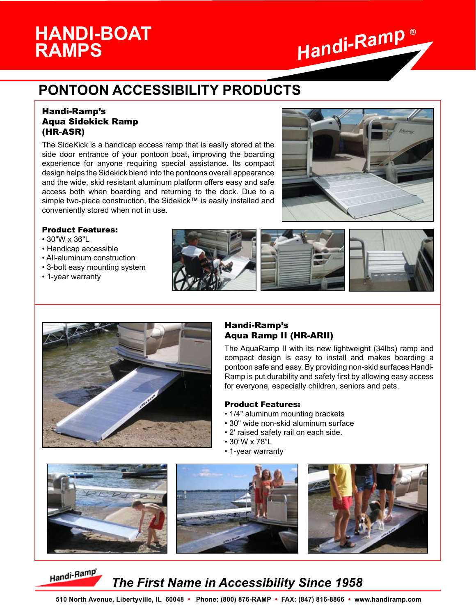# **RAMPS**



# **PONTOON ACCESSIBILITY PRODUCTS**

#### Handi-Ramp's Aqua Sidekick Ramp (HR-ASR)

The SideKick is a handicap access ramp that is easily stored at the side door entrance of your pontoon boat, improving the boarding experience for anyone requiring special assistance. Its compact design helps the Sidekick blend into the pontoons overall appearance and the wide, skid resistant aluminum platform offers easy and safe access both when boarding and returning to the dock. Due to a simple two-piece construction, the Sidekick™ is easily installed and conveniently stored when not in use.



#### Product Features:

- 30"W x 36"L
- Handicap accessible
- All-aluminum construction
- 3-bolt easy mounting system
- 1-year warranty





#### Handi-Ramp's Aqua Ramp II (HR-ARII)

The AquaRamp II with its new lightweight (34lbs) ramp and compact design is easy to install and makes boarding a pontoon safe and easy. By providing non-skid surfaces Handi-Ramp is put durability and safety first by allowing easy access for everyone, especially children, seniors and pets.

#### Product Features:

- 1/4" aluminum mounting brackets
- 30" wide non-skid aluminum surface
- 2' raised safety rail on each side.
- 30"W x 78"L
- 1-year warranty



## Handi-Ramp

## *The First Name in Accessibility Since 1958*

 **510 North Avenue, Libertyville, IL 60048 • Phone: (800) 876-RAMP • FAX: (847) 816-8866 • www.handiramp.com**